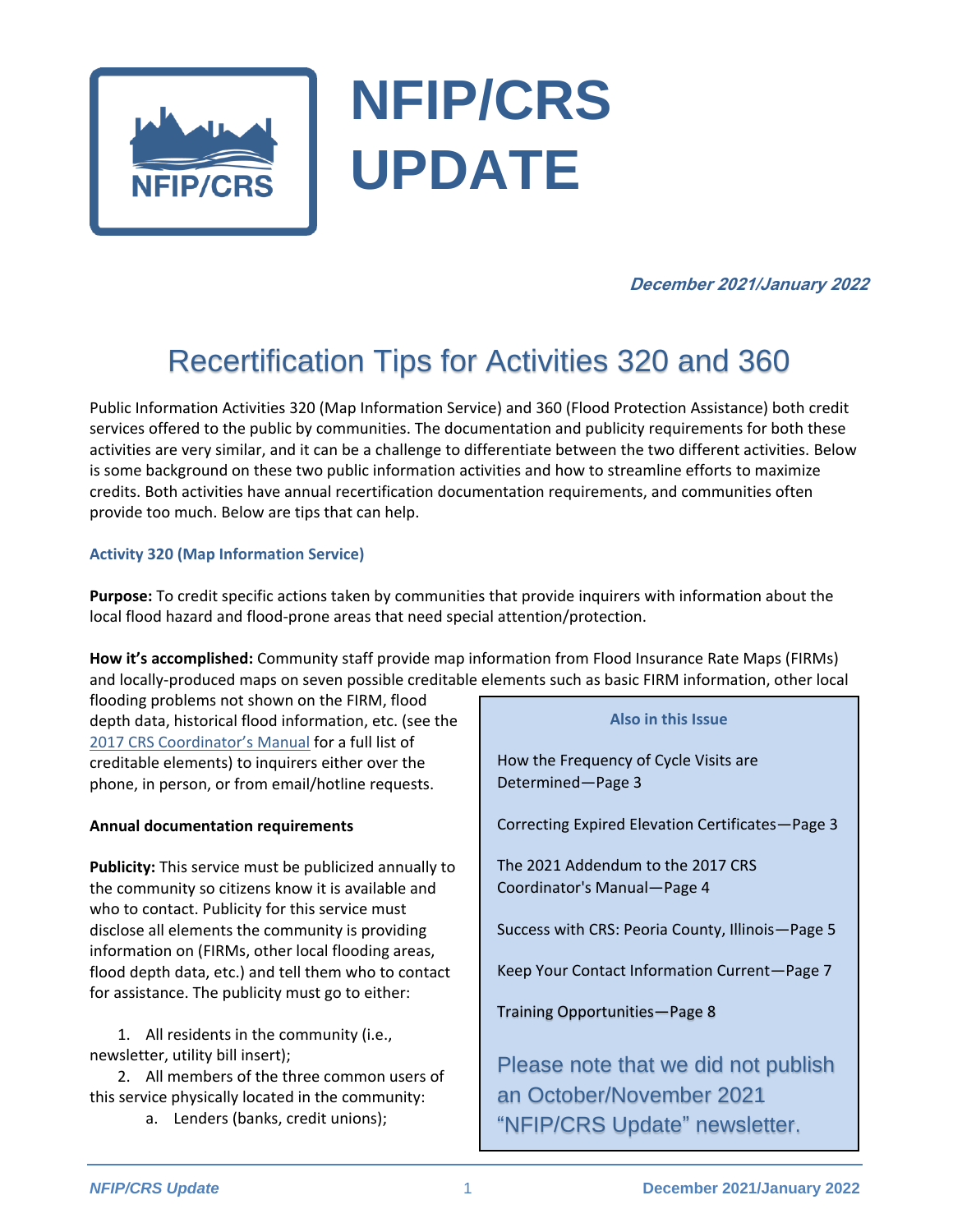

# **NFIP/CRS UPDATE**

#### **December 2021/January 2022**

# Recertification Tips for Activities 320 and 360

Public Information Activities 320 (Map Information Service) and 360 (Flood Protection Assistance) both credit services offered to the public by communities. The documentation and publicity requirements for both these activities are very similar, and it can be a challenge to differentiate between the two different activities. Below is some background on these two public information activities and how to streamline efforts to maximize credits. Both activities have annual recertification documentation requirements, and communities often provide too much. Below are tips that can help.

#### **Activity 320 (Map Information Service)**

**Purpose:** To credit specific actions taken by communities that provide inquirers with information about the local flood hazard and flood-prone areas that need special attention/protection.

**How it's accomplished:** Community staff provide map information from Flood Insurance Rate Maps (FIRMs) and locally-produced maps on seven possible creditable elements such as basic FIRM information, other local

flooding problems not shown on the FIRM, flood depth data, historical flood information, etc. (see the 2017 [CRS Coordinator's Manual](https://www.fema.gov/sites/default/files/documents/fema_community-rating-system_coordinators-manual_2017.pdf) for a full list of creditable elements) to inquirers either over the phone, in person, or from email/hotline requests.

#### **Annual documentation requirements**

**Publicity:** This service must be publicized annually to the community so citizens know it is available and who to contact. Publicity for this service must disclose all elements the community is providing information on (FIRMs, other local flooding areas, flood depth data, etc.) and tell them who to contact for assistance. The publicity must go to either:

1. All residents in the community (i.e., newsletter, utility bill insert);

2. All members of the three common users of this service physically located in the community:

a. Lenders (banks, credit unions);

#### **Also in this Issue**

How the Frequency of Cycle Visits are Determined—Page 3

Correcting Expired Elevation Certificates—Page 3

The 2021 Addendum to the 2017 CRS Coordinator's Manual—Page 4

Success with CRS: Peoria County, Illinois—Page 5

Keep Your Contact Information Current—Page 7

Training Opportunities—Page 8

Please note that we did not publish an October/November 2021 "NFIP/CRS Update" newsletter.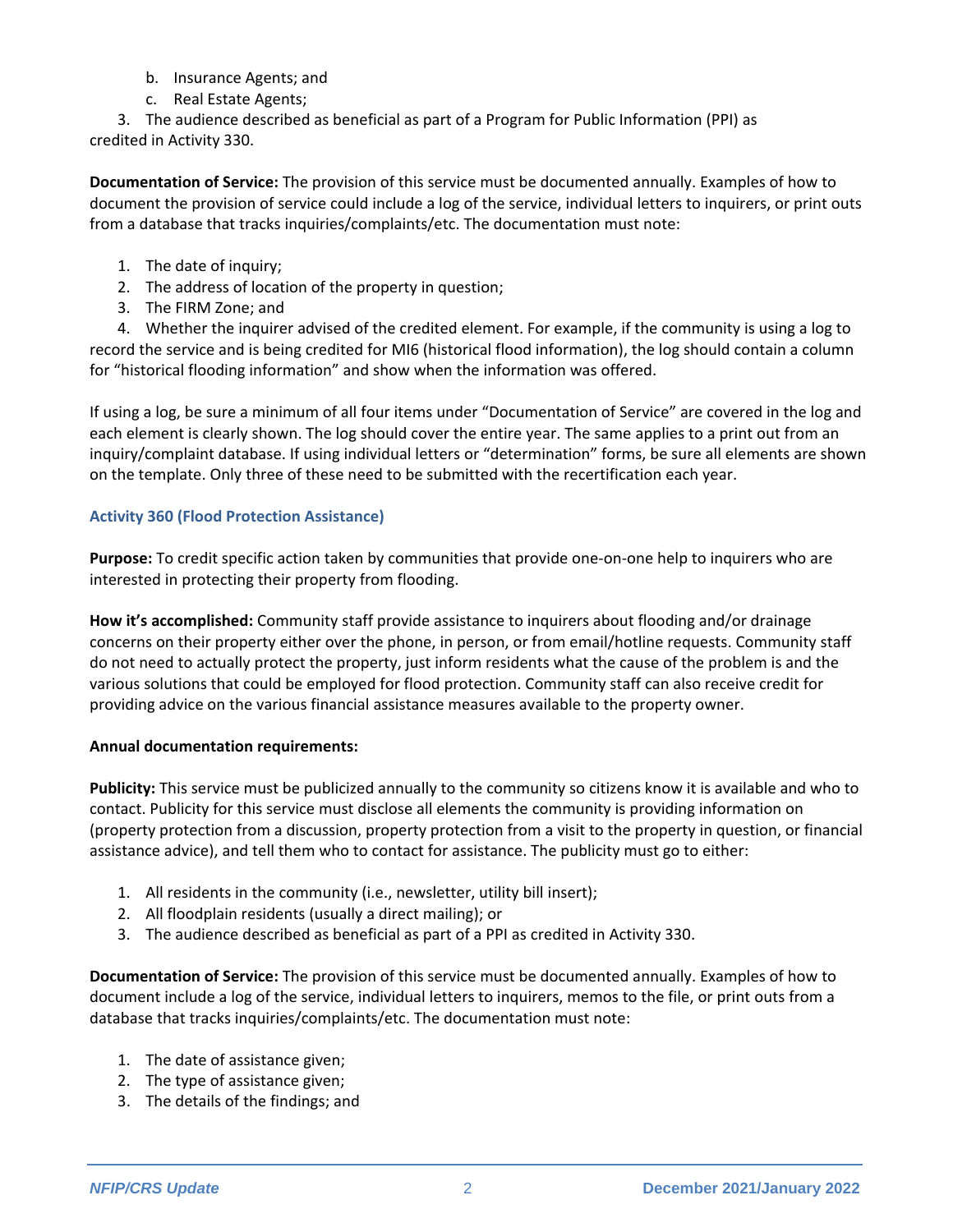- b. Insurance Agents; and
- c. Real Estate Agents;

3. The audience described as beneficial as part of a Program for Public Information (PPI) as credited in Activity 330.

**Documentation of Service:** The provision of this service must be documented annually. Examples of how to document the provision of service could include a log of the service, individual letters to inquirers, or print outs from a database that tracks inquiries/complaints/etc. The documentation must note:

- 1. The date of inquiry;
- 2. The address of location of the property in question;
- 3. The FIRM Zone; and

4. Whether the inquirer advised of the credited element. For example, if the community is using a log to record the service and is being credited for MI6 (historical flood information), the log should contain a column for "historical flooding information" and show when the information was offered.

If using a log, be sure a minimum of all four items under "Documentation of Service" are covered in the log and each element is clearly shown. The log should cover the entire year. The same applies to a print out from an inquiry/complaint database. If using individual letters or "determination" forms, be sure all elements are shown on the template. Only three of these need to be submitted with the recertification each year.

#### **Activity 360 (Flood Protection Assistance)**

**Purpose:** To credit specific action taken by communities that provide one-on-one help to inquirers who are interested in protecting their property from flooding.

**How it's accomplished:** Community staff provide assistance to inquirers about flooding and/or drainage concerns on their property either over the phone, in person, or from email/hotline requests. Community staff do not need to actually protect the property, just inform residents what the cause of the problem is and the various solutions that could be employed for flood protection. Community staff can also receive credit for providing advice on the various financial assistance measures available to the property owner.

#### **Annual documentation requirements:**

**Publicity:** This service must be publicized annually to the community so citizens know it is available and who to contact. Publicity for this service must disclose all elements the community is providing information on (property protection from a discussion, property protection from a visit to the property in question, or financial assistance advice), and tell them who to contact for assistance. The publicity must go to either:

- 1. All residents in the community (i.e., newsletter, utility bill insert);
- 2. All floodplain residents (usually a direct mailing); or
- 3. The audience described as beneficial as part of a PPI as credited in Activity 330.

**Documentation of Service:** The provision of this service must be documented annually. Examples of how to document include a log of the service, individual letters to inquirers, memos to the file, or print outs from a database that tracks inquiries/complaints/etc. The documentation must note:

- 1. The date of assistance given;
- 2. The type of assistance given;
- 3. The details of the findings; and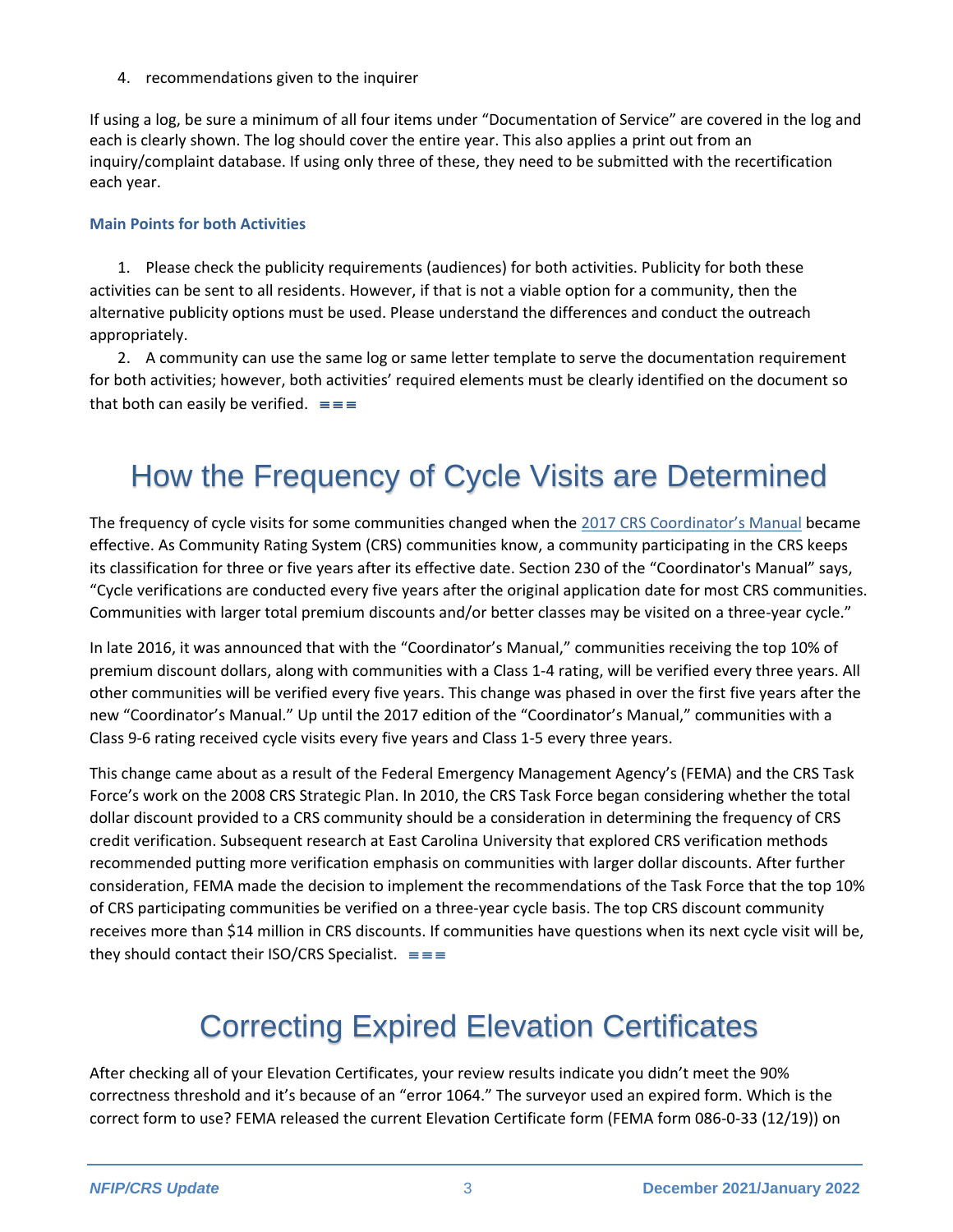4. recommendations given to the inquirer

If using a log, be sure a minimum of all four items under "Documentation of Service" are covered in the log and each is clearly shown. The log should cover the entire year. This also applies a print out from an inquiry/complaint database. If using only three of these, they need to be submitted with the recertification each year.

#### **Main Points for both Activities**

1. Please check the publicity requirements (audiences) for both activities. Publicity for both these activities can be sent to all residents. However, if that is not a viable option for a community, then the alternative publicity options must be used. Please understand the differences and conduct the outreach appropriately.

2. A community can use the same log or same letter template to serve the documentation requirement for both activities; however, both activities' required elements must be clearly identified on the document so that both can easily be verified.  $\equiv \equiv \equiv$ 

## How the Frequency of Cycle Visits are Determined

The frequency of cycle visits for some communities changed when the [2017 CRS Coordinat](https://www.fema.gov/sites/default/files/documents/fema_community-rating-system_coordinators-manual_2017.pdf)or's Manual became effective. As Community Rating System (CRS) communities know, a community participating in the CRS keeps its classification for three or five years after its effective date. Section 230 of the "Coordinator's Manual" says, "Cycle verifications are conducted every five years after the original application date for most CRS communities. Communities with larger total premium discounts and/or better classes may be visited on a three-year cycle."

In late 2016, it was announced that with the "Coordinator's Manual," communities receiving the top 10% of premium discount dollars, along with communities with a Class 1-4 rating, will be verified every three years. All other communities will be verified every five years. This change was phased in over the first five years after the new "Coordinator's Manual." Up until the 2017 edition of the "Coordinator's Manual," communities with a Class 9-6 rating received cycle visits every five years and Class 1-5 every three years.

This change came about as a result of the Federal Emergency Management Agency's (FEMA) and the CRS Task Force's work on the 2008 CRS Strategic Plan. In 2010, the CRS Task Force began considering whether the total dollar discount provided to a CRS community should be a consideration in determining the frequency of CRS credit verification. Subsequent research at East Carolina University that explored CRS verification methods recommended putting more verification emphasis on communities with larger dollar discounts. After further consideration, FEMA made the decision to implement the recommendations of the Task Force that the top 10% of CRS participating communities be verified on a three-year cycle basis. The top CRS discount community receives more than \$14 million in CRS discounts. If communities have questions when its next cycle visit will be, they should contact their ISO/CRS Specialist.  $\equiv \equiv \equiv$ 

# Correcting Expired Elevation Certificates

After checking all of your Elevation Certificates, your review results indicate you didn't meet the 90% correctness threshold and it's because of an "error 1064." The surveyor used an expired form. Which is the correct form to use? FEMA released the current Elevation Certificate form (FEMA form 086-0-33 (12/19)) on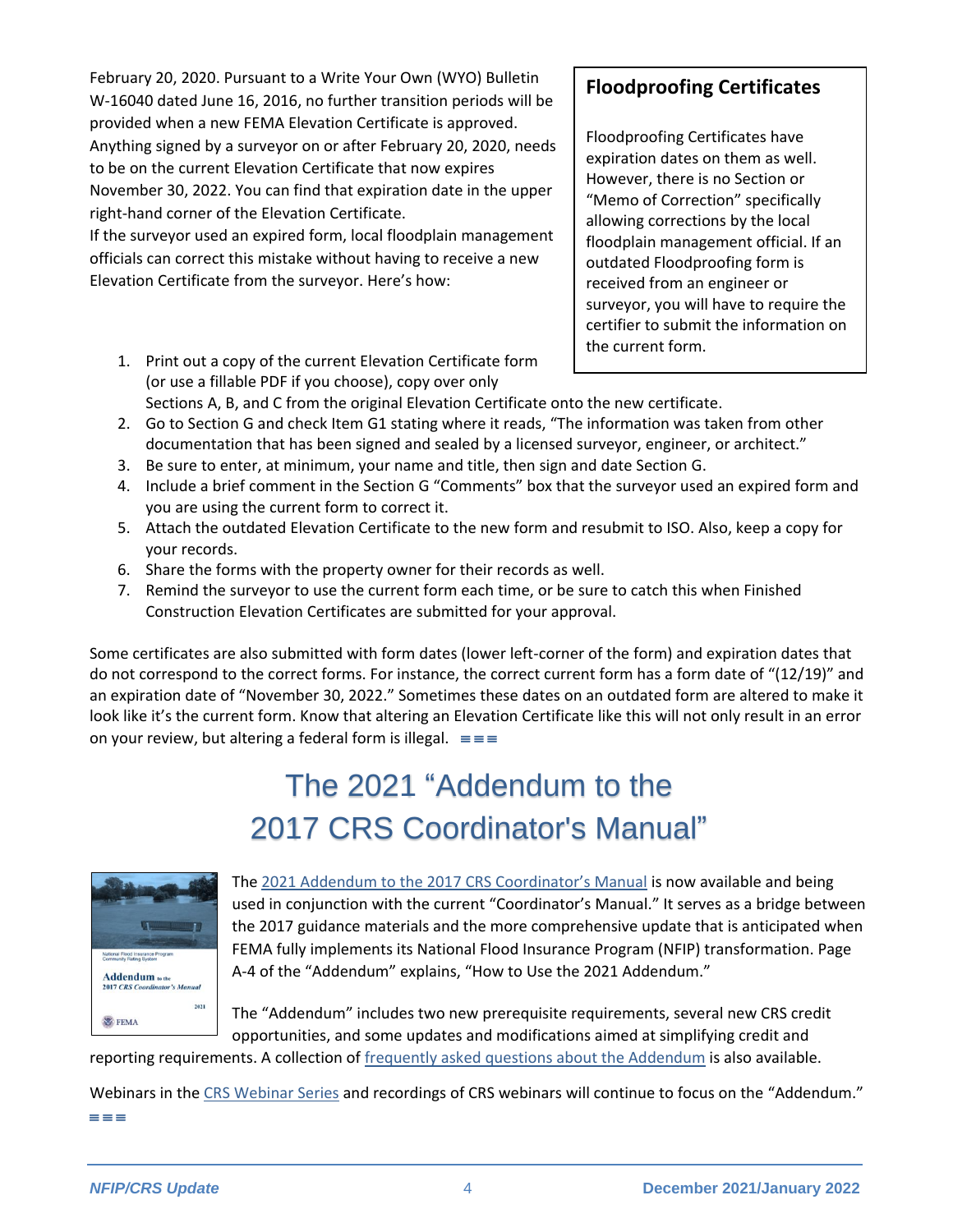February 20, 2020. Pursuant to a Write Your Own (WYO) Bulletin W-16040 dated June 16, 2016, no further transition periods will be provided when a new FEMA Elevation Certificate is approved. Anything signed by a surveyor on or after February 20, 2020, needs to be on the current Elevation Certificate that now expires November 30, 2022. You can find that expiration date in the upper right-hand corner of the Elevation Certificate.

If the surveyor used an expired form, local floodplain management officials can correct this mistake without having to receive a new Elevation Certificate from the surveyor. Here's how:

1. Print out a copy of the current Elevation Certificate form (or use a fillable PDF if you choose), copy over only Sections A, B, and C from the original Elevation Certificate onto the new certificate.

#### **Floodproofing Certificates**

Floodproofing Certificates have expiration dates on them as well. However, there is no Section or "Memo of Correction" specifically allowing corrections by the local floodplain management official. If an outdated Floodproofing form is received from an engineer or surveyor, you will have to require the certifier to submit the information on the current form.

- 2. Go to Section G and check Item G1 stating where it reads, "The information was taken from other documentation that has been signed and sealed by a licensed surveyor, engineer, or architect."
- 3. Be sure to enter, at minimum, your name and title, then sign and date Section G.
- 4. Include a brief comment in the Section G "Comments" box that the surveyor used an expired form and you are using the current form to correct it.
- 5. Attach the outdated Elevation Certificate to the new form and resubmit to ISO. Also, keep a copy for your records.
- 6. Share the forms with the property owner for their records as well.
- 7. Remind the surveyor to use the current form each time, or be sure to catch this when Finished Construction Elevation Certificates are submitted for your approval.

Some certificates are also submitted with form dates (lower left-corner of the form) and expiration dates that do not correspond to the correct forms. For instance, the correct current form has a form date of "(12/19)" and an expiration date of "November 30, 2022." Sometimes these dates on an outdated form are altered to make it look like it's the current form. Know that altering an Elevation Certificate like this will not only result in an error on your review, but altering a federal form is illegal.  $\equiv \equiv \equiv$ 

# The 2021 "Addendum to the 2017 CRS Coordinator's Manual"



The [2021 Addendum to the 2017 CRS Coordinator's Manual](https://www.fema.gov/sites/default/files/documents/fema_community-rating-system_coordinator-manual_addendum-2021.pdf) is now available and being used in conjunction with the current "Coordinator's Manual." It serves as a bridge between the 2017 guidance materials and the more comprehensive update that is anticipated when FEMA fully implements its National Flood Insurance Program (NFIP) transformation. Page A-4 of the "Addendum" explains, "How to Use the 2021 Addendum."

The "Addendum" includes two new prerequisite requirements, several new CRS credit opportunities, and some updates and modifications aimed at simplifying credit and

reporting requirements. A collection of [frequently asked questions about the Addendum](https://www.fema.gov/sites/default/files/documents/fema_community-rating-system_coordinator-manual_addendum-2021_FAQs.pdf) is also available.

Webinars in the [CRS Webinar Series](https://crsresources.org/training/) and recordings of CRS webinars will continue to focus on the "Addendum."  $=$   $=$   $=$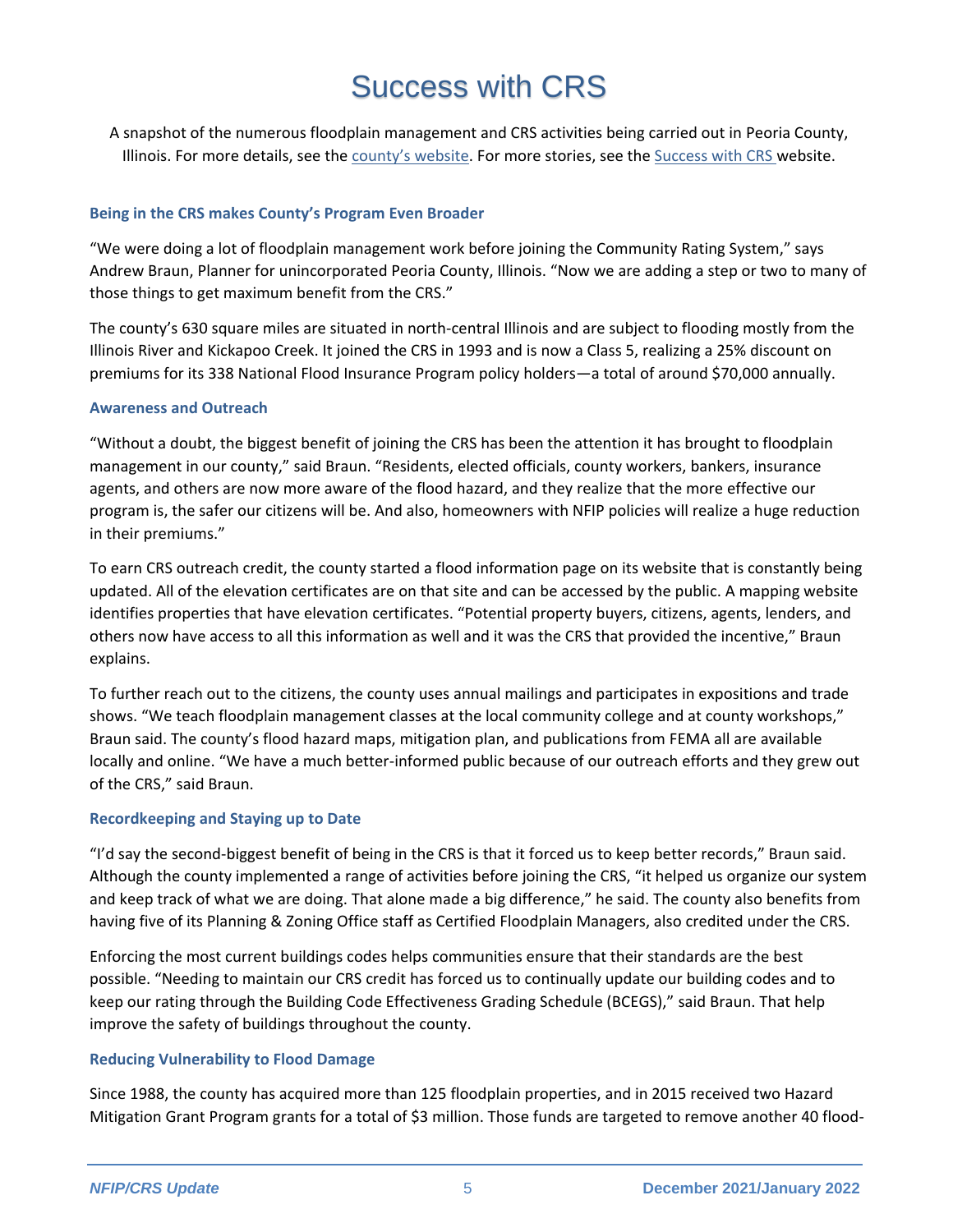# Success with CRS

A snapshot of the numerous floodplain management and CRS activities being carried out in Peoria County, Illinois. For more details, see the county's [website.](https://www.peoriacounty.org/) For more stories, see th[e Success with CRS w](https://successwithcrs.us/)ebsite.

#### **Being in the CRS makes County's Program Even Broader**

"We were doing a lot of floodplain management work before joining the Community Rating System," says Andrew Braun, Planner for unincorporated Peoria County, Illinois. "Now we are adding a step or two to many of those things to get maximum benefit from the CRS."

The county's 630 square miles are situated in north-central Illinois and are subject to flooding mostly from the Illinois River and Kickapoo Creek. It joined the CRS in 1993 and is now a Class 5, realizing a 25% discount on premiums for its 338 National Flood Insurance Program policy holders—a total of around \$70,000 annually.

#### **Awareness and Outreach**

"Without a doubt, the biggest benefit of joining the CRS has been the attention it has brought to floodplain management in our county," said Braun. "Residents, elected officials, county workers, bankers, insurance agents, and others are now more aware of the flood hazard, and they realize that the more effective our program is, the safer our citizens will be. And also, homeowners with NFIP policies will realize a huge reduction in their premiums."

To earn CRS outreach credit, the county started a flood information page on its website that is constantly being updated. All of the elevation certificates are on that site and can be accessed by the public. A mapping website identifies properties that have elevation certificates. "Potential property buyers, citizens, agents, lenders, and others now have access to all this information as well and it was the CRS that provided the incentive," Braun explains.

To further reach out to the citizens, the county uses annual mailings and participates in expositions and trade shows. "We teach floodplain management classes at the local community college and at county workshops," Braun said. The county's flood hazard maps, mitigation plan, and publications from FEMA all are available locally and online. "We have a much better-informed public because of our outreach efforts and they grew out of the CRS," said Braun.

#### **Recordkeeping and Staying up to Date**

"I'd say the second-biggest benefit of being in the CRS is that it forced us to keep better records," Braun said. Although the county implemented a range of activities before joining the CRS, "it helped us organize our system and keep track of what we are doing. That alone made a big difference," he said. The county also benefits from having five of its Planning & Zoning Office staff as Certified Floodplain Managers, also credited under the CRS.

Enforcing the most current buildings codes helps communities ensure that their standards are the best possible. "Needing to maintain our CRS credit has forced us to continually update our building codes and to keep our rating through the Building Code Effectiveness Grading Schedule (BCEGS)," said Braun. That help improve the safety of buildings throughout the county.

#### **Reducing Vulnerability to Flood Damage**

Since 1988, the county has acquired more than 125 floodplain properties, and in 2015 received two Hazard Mitigation Grant Program grants for a total of \$3 million. Those funds are targeted to remove another 40 flood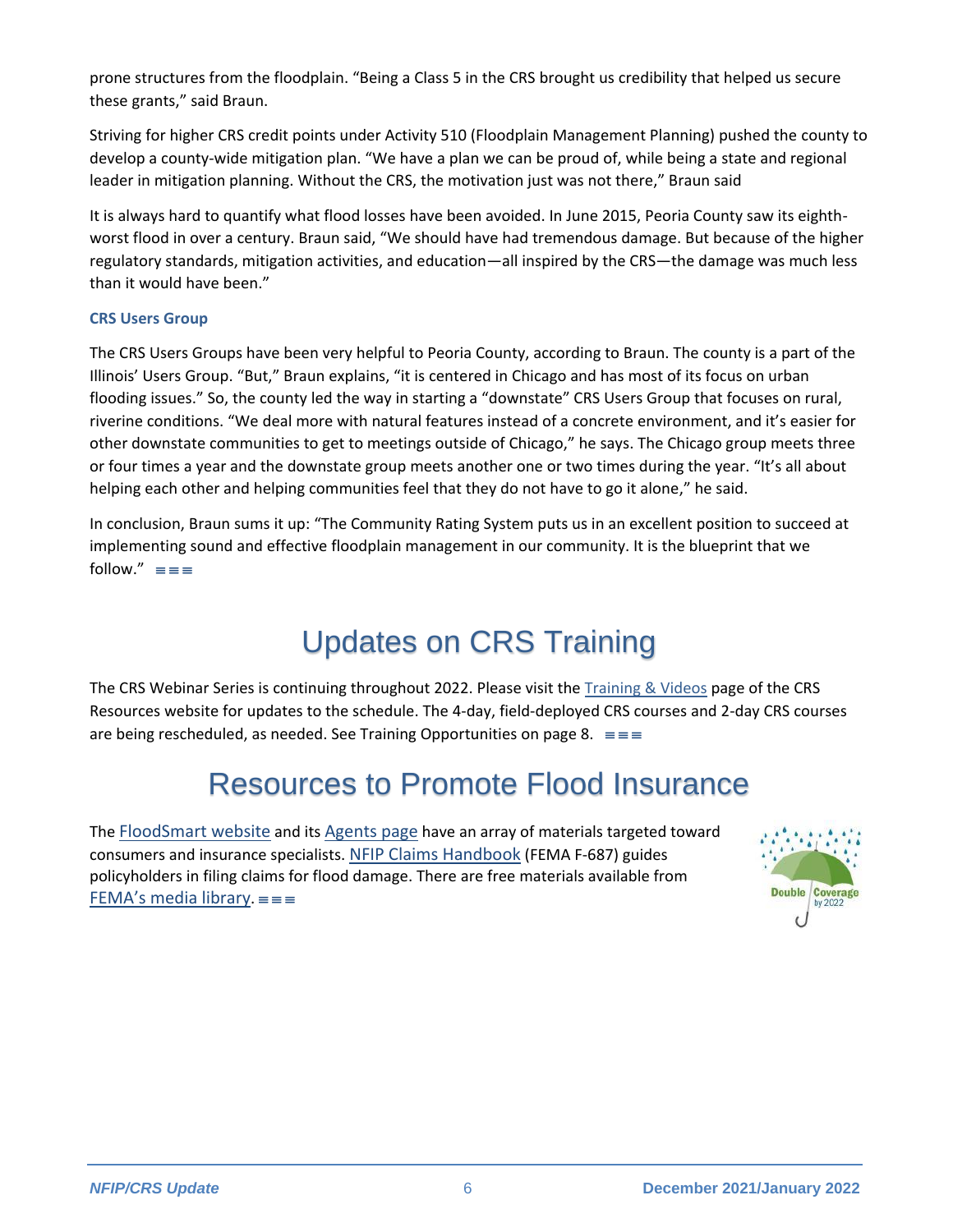prone structures from the floodplain. "Being a Class 5 in the CRS brought us credibility that helped us secure these grants," said Braun.

Striving for higher CRS credit points under Activity 510 (Floodplain Management Planning) pushed the county to develop a county-wide mitigation plan. "We have a plan we can be proud of, while being a state and regional leader in mitigation planning. Without the CRS, the motivation just was not there," Braun said

It is always hard to quantify what flood losses have been avoided. In June 2015, Peoria County saw its eighthworst flood in over a century. Braun said, "We should have had tremendous damage. But because of the higher regulatory standards, mitigation activities, and education—all inspired by the CRS—the damage was much less than it would have been."

#### **CRS Users Group**

The CRS Users Groups have been very helpful to Peoria County, according to Braun. The county is a part of the Illinois' Users Group. "But," Braun explains, "it is centered in Chicago and has most of its focus on urban flooding issues." So, the county led the way in starting a "downstate" CRS Users Group that focuses on rural, riverine conditions. "We deal more with natural features instead of a concrete environment, and it's easier for other downstate communities to get to meetings outside of Chicago," he says. The Chicago group meets three or four times a year and the downstate group meets another one or two times during the year. "It's all about helping each other and helping communities feel that they do not have to go it alone," he said.

In conclusion, Braun sums it up: "The Community Rating System puts us in an excellent position to succeed at implementing sound and effective floodplain management in our community. It is the blueprint that we follow."  $\equiv \equiv \equiv$ 

# Updates on CRS Training

The CRS Webinar Series is continuing throughout 2022. Please visit the [Training & Videos](https://crsresources.org/training/) page of the CRS Resources website for updates to the schedule. The 4-day, field-deployed CRS courses and 2-day CRS courses are being rescheduled, as needed. See Training Opportunities on page 8.  $\equiv \equiv \equiv$ 

### Resources to Promote Flood Insurance

The [FloodSmart website](https://www.floodsmart.gov/) and its [Agents page](https://agents.floodsmart.gov/) have an array of materials targeted toward consumers and insurance specialists. [NFIP Claims Handbook](https://www.fema.gov/sites/default/files/2020-05/FINAL_ClaimsHandbook_10252017.pdf) (FEMA F-687) guides policyholders in filing claims for flood damage. There are free materials available from FEMA's [media library](https://www.fema.gov/multimedia-library).  $\equiv \equiv$ 

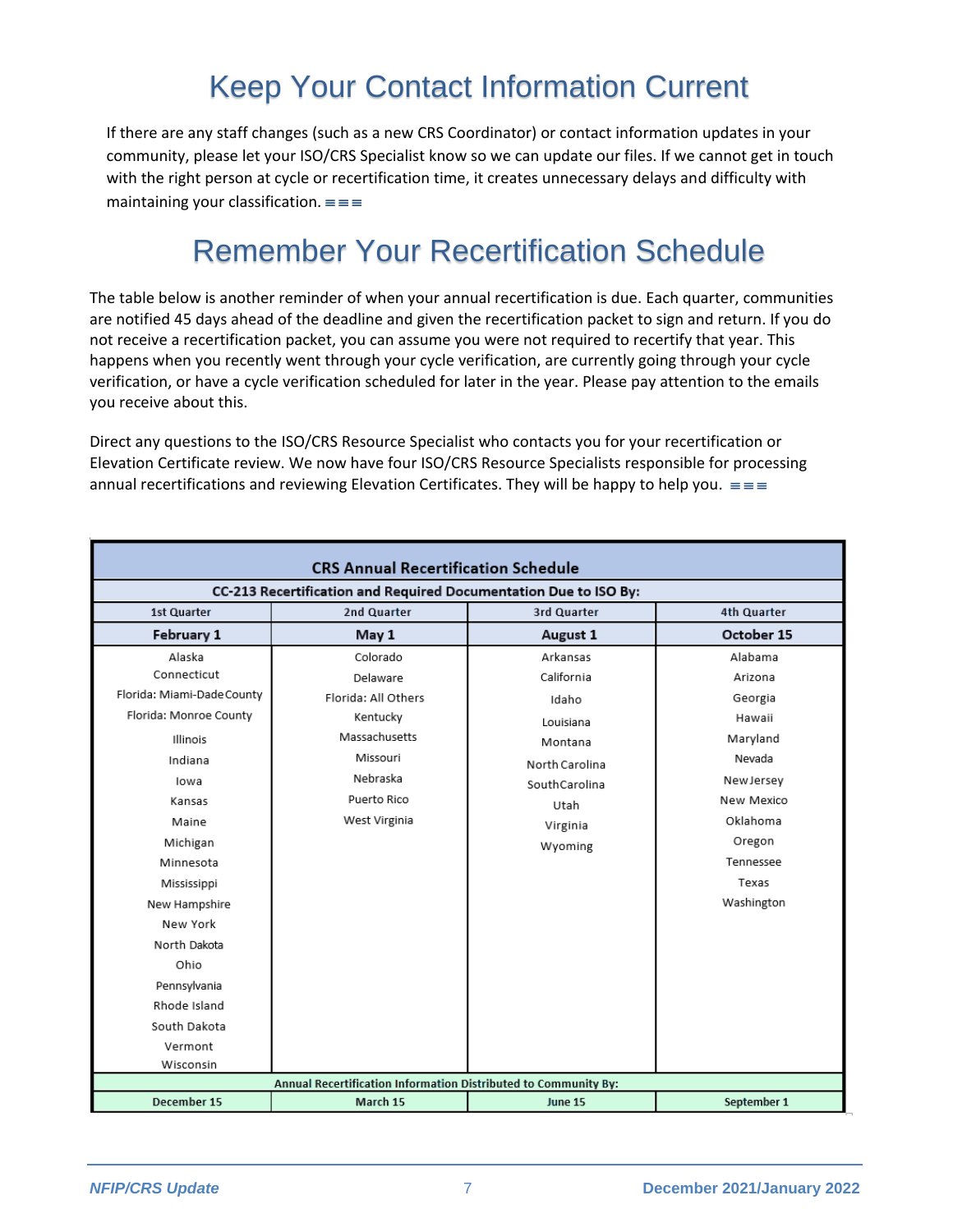# Keep Your Contact Information Current

If there are any staff changes (such as a new CRS Coordinator) or contact information updates in your community, please let your ISO/CRS Specialist know so we can update our files. If we cannot get in touch with the right person at cycle or recertification time, it creates unnecessary delays and difficulty with maintaining your classification.  $\equiv \equiv \equiv$ 

# Remember Your Recertification Schedule

The table below is another reminder of when your annual recertification is due. Each quarter, communities are notified 45 days ahead of the deadline and given the recertification packet to sign and return. If you do not receive a recertification packet, you can assume you were not required to recertify that year. This happens when you recently went through your cycle verification, are currently going through your cycle verification, or have a cycle verification scheduled for later in the year. Please pay attention to the emails you receive about this.

Direct any questions to the ISO/CRS Resource Specialist who contacts you for your recertification or Elevation Certificate review. We now have four ISO/CRS Resource Specialists responsible for processing annual recertifications and reviewing Elevation Certificates. They will be happy to help you.  $\equiv \equiv$ 

| <b>CRS Annual Recertification Schedule</b>                                                                                                                                                           |                                                                                                                                  |                                                                                                                           |                                                                                                                                                    |  |
|------------------------------------------------------------------------------------------------------------------------------------------------------------------------------------------------------|----------------------------------------------------------------------------------------------------------------------------------|---------------------------------------------------------------------------------------------------------------------------|----------------------------------------------------------------------------------------------------------------------------------------------------|--|
| CC-213 Recertification and Required Documentation Due to ISO By:                                                                                                                                     |                                                                                                                                  |                                                                                                                           |                                                                                                                                                    |  |
| 1st Quarter                                                                                                                                                                                          | 2nd Quarter                                                                                                                      | 3rd Quarter                                                                                                               | <b>4th Quarter</b>                                                                                                                                 |  |
| February 1                                                                                                                                                                                           | May 1                                                                                                                            | August 1                                                                                                                  | October 15                                                                                                                                         |  |
| Alaska<br>Connecticut<br>Florida: Miami-Dade County<br>Florida: Monroe County<br>Illinois<br>Indiana<br>lowa<br>Kansas<br>Maine<br>Michigan<br>Minnesota<br>Mississippi<br>New Hampshire<br>New York | Colorado<br>Delaware<br>Florida: All Others<br>Kentucky<br>Massachusetts<br>Missouri<br>Nebraska<br>Puerto Rico<br>West Virginia | Arkansas<br>California<br>Idaho<br>Louisiana<br>Montana<br>North Carolina<br>SouthCarolina<br>Utah<br>Virginia<br>Wyoming | Alabama<br>Arizona<br>Georgia<br>Hawaii<br>Maryland<br>Nevada<br>NewJersey<br>New Mexico<br>Oklahoma<br>Oregon<br>Tennessee<br>Texas<br>Washington |  |
| North Dakota<br>Ohio<br>Pennsylvania<br>Rhode Island<br>South Dakota<br>Vermont<br>Wisconsin                                                                                                         | Annual Recertification Information Distributed to Community By:                                                                  |                                                                                                                           |                                                                                                                                                    |  |
| December 15                                                                                                                                                                                          | March 15                                                                                                                         | <b>June 15</b>                                                                                                            | September 1                                                                                                                                        |  |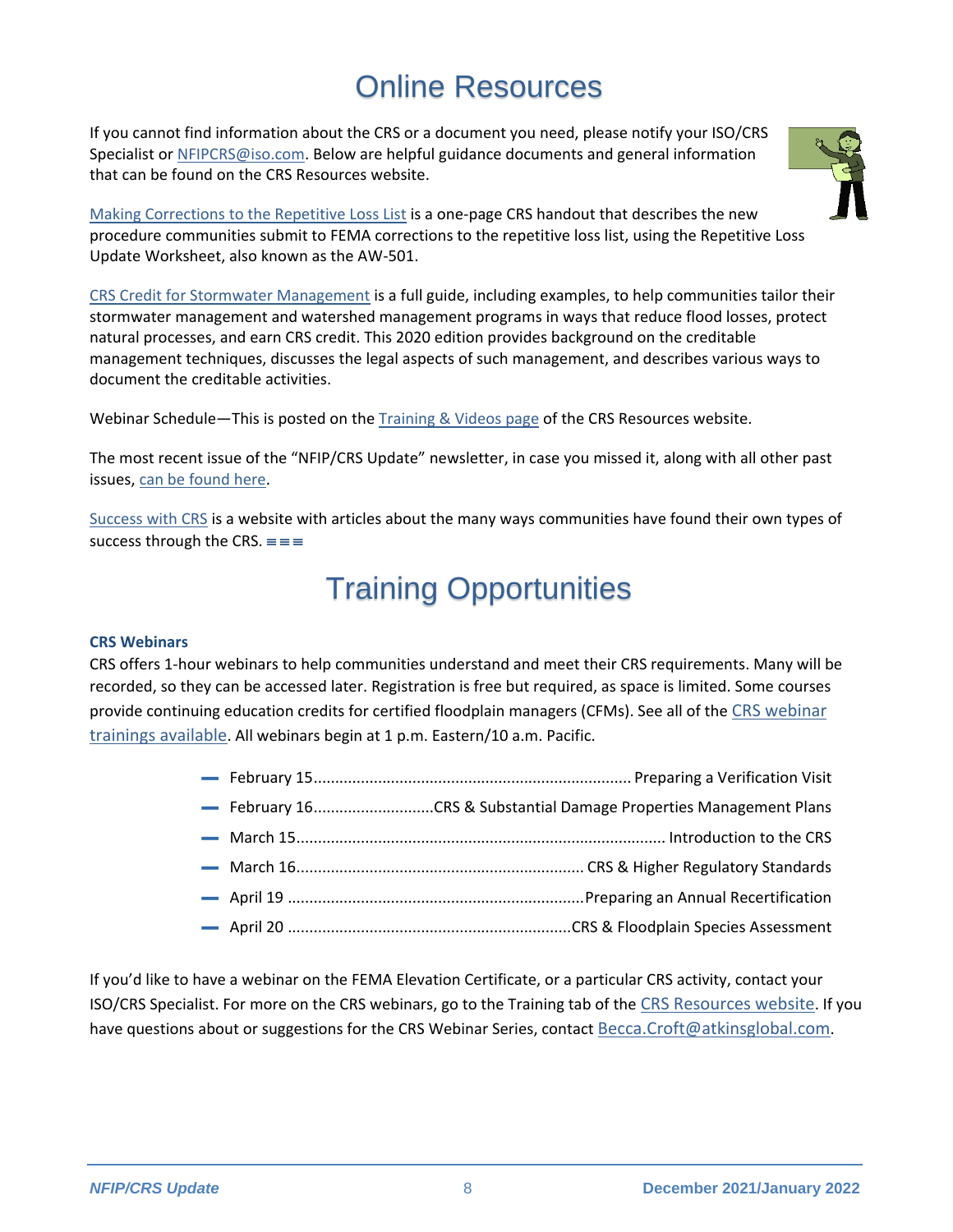## Online Resources

If you cannot find information about the CRS or a document you need, please notify your ISO/CRS Specialist or [NFIPCRS@iso.com.](mailto:NFIPCRS@iso.com) Below are helpful guidance documents and general information that can be found on the CRS Resources website.



[Making Corrections to the Repetitive Loss List](https://crsresources.org/files/500/making_corrections_to_the_repetitive_loss_list.pdf) is a one-page CRS handout that describes the new procedure communities submit to FEMA corrections to the repetitive loss list, using the Repetitive Loss Update Worksheet, also known as the AW-501.

[CRS Credit for Stormwater Management](https://crsresources.org/files/400/450_crs_credit_for_stormwater_management.pdf) is a full guide, including examples, to help communities tailor their stormwater management and watershed management programs in ways that reduce flood losses, protect natural processes, and earn CRS credit. This 2020 edition provides background on the creditable management techniques, discusses the legal aspects of such management, and describes various ways to document the creditable activities.

Webinar Schedule—This is posted on th[e Training & Videos page](https://crsresources.org/training/) of the CRS Resources website.

The most recent issue of the "NFIP/CRS Update" newsletter, in case you missed it, along with all other past issues, [can be found here.](https://crsresources.org/100-2/)

[Success with CRS](https://successwithcrs.us/) is a [website with articles](about:blank) about the many ways communities have found their own types of success through the CRS.  $\equiv \equiv \equiv$ 

# Training Opportunities

#### **CRS Webinars**

CRS offers 1-hour webinars to help communities understand and meet their CRS requirements. Many will be recorded, so they can be accessed later. Registration is free but required, as space is limited. Some courses provide continuing education credits for certified floodplain managers (CFMs). See all of the [CRS webinar](https://crsresources.org/training/)  [trainings available](https://crsresources.org/training/). All webinars begin at 1 p.m. Eastern/10 a.m. Pacific.

If you'd like to have a webinar on the FEMA Elevation Certificate, or a particular CRS activity, contact your ISO/CRS Specialist. For more on the CRS webinars, go to the Training tab of the [CRS Resources website](https://crsresources.org/). If you have questions about or suggestions for the CRS Webinar Series, contact [Becca.Croft@atkinsglobal.com](about:blank).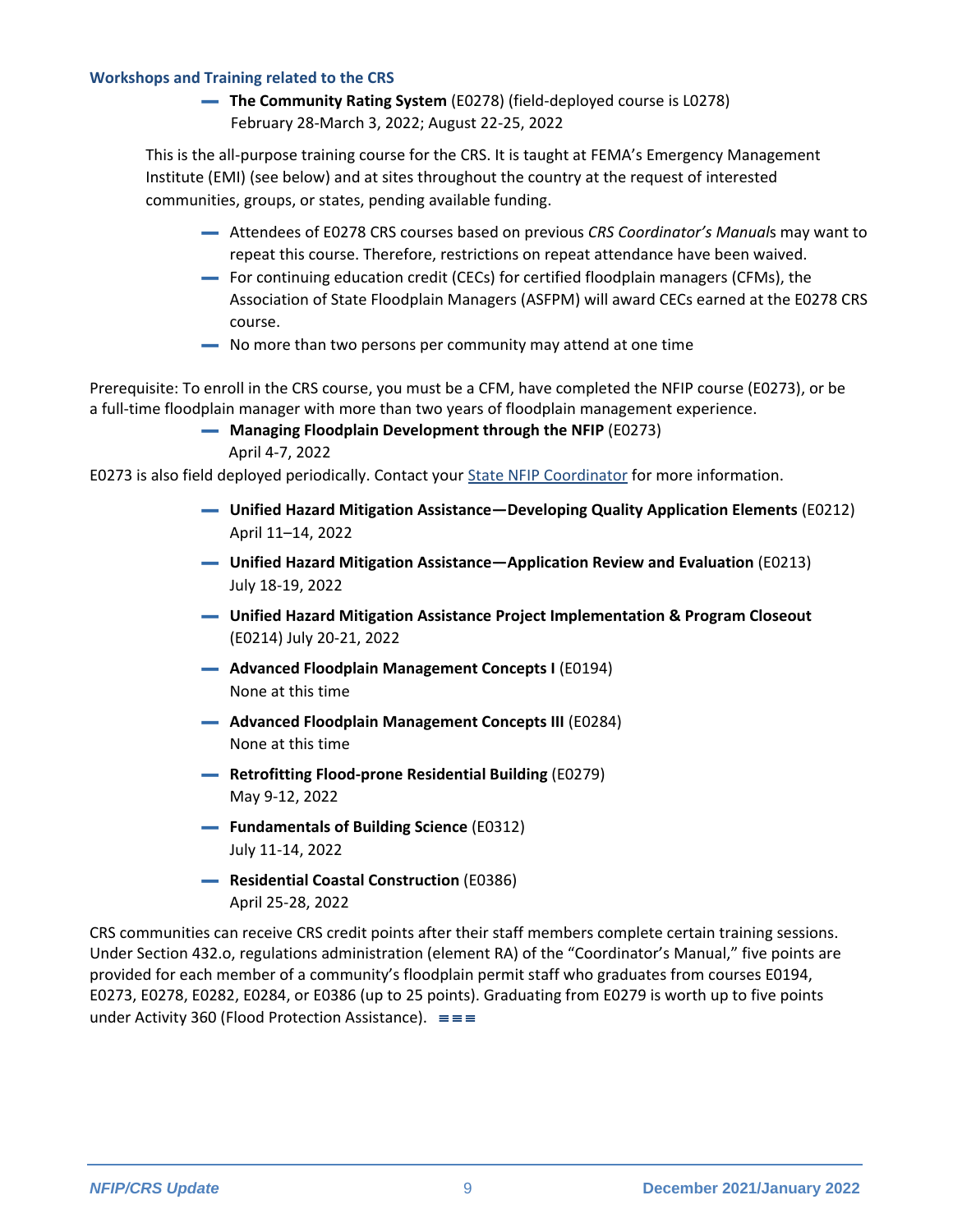#### **Workshops and Training related to the CRS**

▬ **The Community Rating System** (E0278) (field-deployed course is L0278) February 28-March 3, 2022; August 22-25, 2022

This is the all-purpose training course for the CRS. It is taught at FEMA's Emergency Management Institute (EMI) (see below) and at sites throughout the country at the request of interested communities, groups, or states, pending available funding.

- ▬ Attendees of E0278 CRS courses based on previous *CRS Coordinator's Manual*s may want to repeat this course. Therefore, restrictions on repeat attendance have been waived.
- ▬ For continuing education credit (CECs) for certified floodplain managers (CFMs), the Association of State Floodplain Managers (ASFPM) will award CECs earned at the E0278 CRS course.
- ▬ No more than two persons per community may attend at one time

Prerequisite: To enroll in the CRS course, you must be a CFM, have completed the NFIP course (E0273), or be a full-time floodplain manager with more than two years of floodplain management experience.

▬ **Managing Floodplain Development through the NFIP** (E0273)

April 4-7, 2022

E0273 is also field deployed periodically. Contact you[r State NFIP Coordinator](https://www.floods.org/membership-communities/connect/state-floodplain-managers-scs/) for more information.

- ▬ **Unified Hazard Mitigation Assistance—Developing Quality Application Elements** (E0212) April 11–14, 2022
- ▬ **Unified Hazard Mitigation Assistance—Application Review and Evaluation** (E0213) July 18-19, 2022
- ▬ **Unified Hazard Mitigation Assistance Project Implementation & Program Closeout** (E0214) July 20-21, 2022
- ▬ **Advanced Floodplain Management Concepts I** (E0194) None at this time
- ▬ **Advanced Floodplain Management Concepts III** (E0284) None at this time
- ▬ **Retrofitting Flood-prone Residential Building** (E0279) May 9-12, 2022
- ▬ **Fundamentals of Building Science** (E0312) July 11-14, 2022
- ▬ **Residential Coastal Construction** (E0386) April 25-28, 2022

CRS communities can receive CRS credit points after their staff members complete certain training sessions. Under Section 432.o, regulations administration (element RA) of the "Coordinator's Manual," five points are provided for each member of a community's floodplain permit staff who graduates from courses E0194, E0273, E0278, E0282, E0284, or E0386 (up to 25 points). Graduating from E0279 is worth up to five points under Activity 360 (Flood Protection Assistance).  $\equiv \equiv$